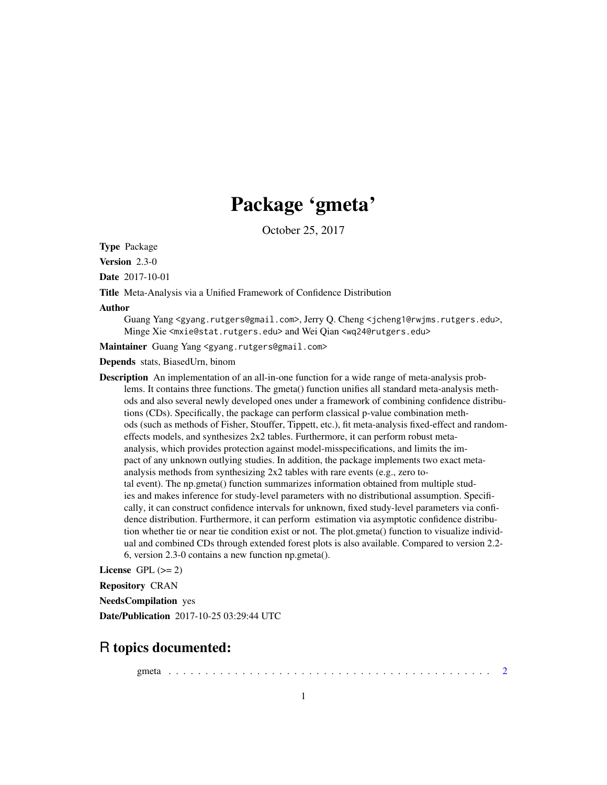# Package 'gmeta'

October 25, 2017

<span id="page-0-0"></span>Type Package

Version 2.3-0

Date 2017-10-01

Title Meta-Analysis via a Unified Framework of Confidence Distribution

#### Author

Guang Yang <gyang.rutgers@gmail.com>, Jerry Q. Cheng <jcheng1@rwjms.rutgers.edu>, Minge Xie <mxie@stat.rutgers.edu> and Wei Qian <wq24@rutgers.edu>

Maintainer Guang Yang <gyang.rutgers@gmail.com>

Depends stats, BiasedUrn, binom

Description An implementation of an all-in-one function for a wide range of meta-analysis problems. It contains three functions. The gmeta() function unifies all standard meta-analysis methods and also several newly developed ones under a framework of combining confidence distributions (CDs). Specifically, the package can perform classical p-value combination methods (such as methods of Fisher, Stouffer, Tippett, etc.), fit meta-analysis fixed-effect and randomeffects models, and synthesizes 2x2 tables. Furthermore, it can perform robust metaanalysis, which provides protection against model-misspecifications, and limits the impact of any unknown outlying studies. In addition, the package implements two exact metaanalysis methods from synthesizing 2x2 tables with rare events (e.g., zero total event). The np.gmeta() function summarizes information obtained from multiple studies and makes inference for study-level parameters with no distributional assumption. Specifically, it can construct confidence intervals for unknown, fixed study-level parameters via confidence distribution. Furthermore, it can perform estimation via asymptotic confidence distribution whether tie or near tie condition exist or not. The plot.gmeta() function to visualize individual and combined CDs through extended forest plots is also available. Compared to version 2.2- 6, version 2.3-0 contains a new function np.gmeta().

License GPL  $(>= 2)$ 

Repository CRAN

NeedsCompilation yes

Date/Publication 2017-10-25 03:29:44 UTC

# R topics documented:

gmeta . . . . . . . . . . . . . . . . . . . . . . . . . . . . . . . . . . . . . . . . . . . . [2](#page-1-0)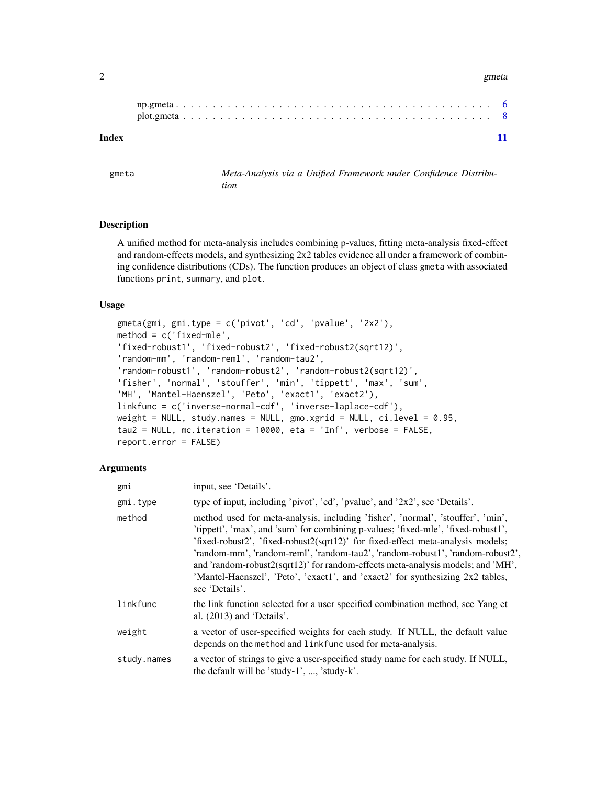#### $2 \t\t g$ meta

#### **Index** [11](#page-10-0)

<span id="page-1-1"></span>gmeta *Meta-Analysis via a Unified Framework under Confidence Distribution*

#### **Description**

A unified method for meta-analysis includes combining p-values, fitting meta-analysis fixed-effect and random-effects models, and synthesizing 2x2 tables evidence all under a framework of combining confidence distributions (CDs). The function produces an object of class gmeta with associated functions print, summary, and plot.

# Usage

```
gmeta(gmi, gmi.type = c('pivot', 'cd', 'pvalue', '2x2'),
method = c('fixed-mle','fixed-robust1', 'fixed-robust2', 'fixed-robust2(sqrt12)',
'random-mm', 'random-reml', 'random-tau2',
'random-robust1', 'random-robust2', 'random-robust2(sqrt12)',
'fisher', 'normal', 'stouffer', 'min', 'tippett', 'max', 'sum',
'MH', 'Mantel-Haenszel', 'Peto', 'exact1', 'exact2'),
linkfunc = c('inverse-normal-cdf', 'inverse-laplace-cdf'),
weight = NULL, study.names = NULL, gmo.xgrid = NULL, ci.level = 0.95,
tau2 = NULL, mc.iteration = 10000, eta = 'Inf', verbose = FALSE,
report.error = FALSE)
```
#### Arguments

| gmi         | input, see 'Details'.                                                                                                                                                                                                                                                                                                                                                                                                                                                                                                            |
|-------------|----------------------------------------------------------------------------------------------------------------------------------------------------------------------------------------------------------------------------------------------------------------------------------------------------------------------------------------------------------------------------------------------------------------------------------------------------------------------------------------------------------------------------------|
| gmi.type    | type of input, including 'pivot', 'cd', 'pvalue', and '2x2', see 'Details'.                                                                                                                                                                                                                                                                                                                                                                                                                                                      |
| method      | method used for meta-analysis, including 'fisher', 'normal', 'stouffer', 'min',<br>'tippett', 'max', and 'sum' for combining p-values; 'fixed-mle', 'fixed-robust1',<br>'fixed-robust2', 'fixed-robust2(sqrt12)' for fixed-effect meta-analysis models;<br>'random-mm', 'random-reml', 'random-tau2', 'random-robust1', 'random-robust2',<br>and 'random-robust2(sqrt12)' for random-effects meta-analysis models; and 'MH',<br>'Mantel-Haenszel', 'Peto', 'exact1', and 'exact2' for synthesizing 2x2 tables,<br>see 'Details'. |
| linkfunc    | the link function selected for a user specified combination method, see Yang et<br>al. $(2013)$ and 'Details'.                                                                                                                                                                                                                                                                                                                                                                                                                   |
| weight      | a vector of user-specified weights for each study. If NULL, the default value<br>depends on the method and linkfunc used for meta-analysis.                                                                                                                                                                                                                                                                                                                                                                                      |
| study.names | a vector of strings to give a user-specified study name for each study. If NULL,<br>the default will be 'study-1', , 'study-k'.                                                                                                                                                                                                                                                                                                                                                                                                  |

<span id="page-1-0"></span>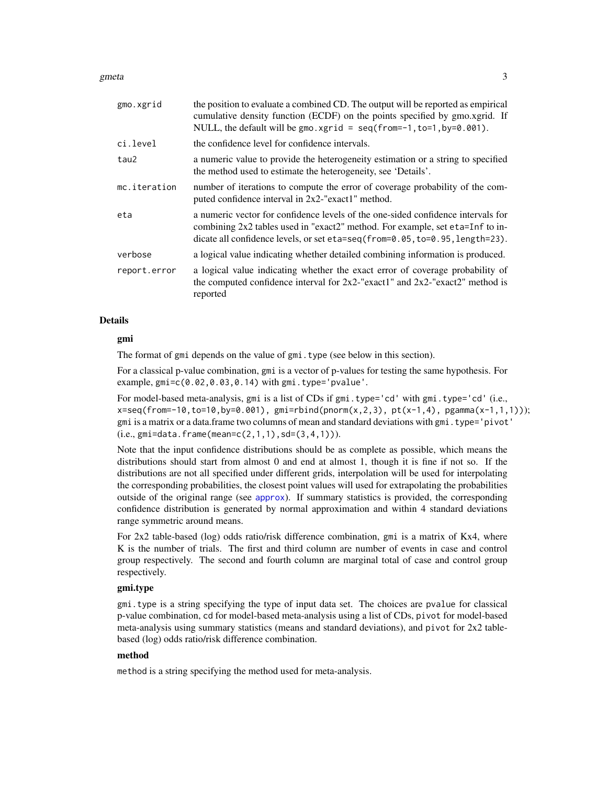#### <span id="page-2-0"></span>gmeta 3

| gmo.xgrid    | the position to evaluate a combined CD. The output will be reported as empirical<br>cumulative density function (ECDF) on the points specified by gmo.xgrid. If<br>NULL, the default will be gmo. xgrid = $seq(from=-1, to=1, by=0.001)$ .        |
|--------------|---------------------------------------------------------------------------------------------------------------------------------------------------------------------------------------------------------------------------------------------------|
| ci.level     | the confidence level for confidence intervals.                                                                                                                                                                                                    |
| tau2         | a numeric value to provide the heterogeneity estimation or a string to specified<br>the method used to estimate the heterogeneity, see 'Details'.                                                                                                 |
| mc.iteration | number of iterations to compute the error of coverage probability of the com-<br>puted confidence interval in 2x2-"exact1" method.                                                                                                                |
| eta          | a numeric vector for confidence levels of the one-sided confidence intervals for<br>combining 2x2 tables used in "exact2" method. For example, set eta=Inf to in-<br>dicate all confidence levels, or set eta=seq(from=0.05, to=0.95, length=23). |
| verbose      | a logical value indicating whether detailed combining information is produced.                                                                                                                                                                    |
| report.error | a logical value indicating whether the exact error of coverage probability of<br>the computed confidence interval for $2x2$ -"exact1" and $2x2$ -"exact2" method is<br>reported                                                                   |
|              |                                                                                                                                                                                                                                                   |

#### Details

# gmi

The format of gmi depends on the value of gmi.type (see below in this section).

For a classical p-value combination, gmi is a vector of p-values for testing the same hypothesis. For example, gmi=c(0.02,0.03,0.14) with gmi.type='pvalue'.

For model-based meta-analysis, gmi is a list of CDs if gmi.type='cd' with gmi.type='cd' (i.e.,  $x=seq(from=10, to=10, by=0.001)$ ,  $gmi=rbind(pnorm(x, 2, 3)$ ,  $pt(x-1, 4)$ ,  $pgamma(x-1, 1, 1))$ ; gmi is a matrix or a data.frame two columns of mean and standard deviations with gmi.type='pivot'  $(i.e., gmi = data. frame(mean = c(2,1,1), sd = (3,4,1))).$ 

Note that the input confidence distributions should be as complete as possible, which means the distributions should start from almost 0 and end at almost 1, though it is fine if not so. If the distributions are not all specified under different grids, interpolation will be used for interpolating the corresponding probabilities, the closest point values will used for extrapolating the probabilities outside of the original range (see [approx](#page-0-0)). If summary statistics is provided, the corresponding confidence distribution is generated by normal approximation and within 4 standard deviations range symmetric around means.

For 2x2 table-based (log) odds ratio/risk difference combination, gmi is a matrix of Kx4, where K is the number of trials. The first and third column are number of events in case and control group respectively. The second and fourth column are marginal total of case and control group respectively.

# gmi.type

gmi.type is a string specifying the type of input data set. The choices are pvalue for classical p-value combination, cd for model-based meta-analysis using a list of CDs, pivot for model-based meta-analysis using summary statistics (means and standard deviations), and pivot for 2x2 tablebased (log) odds ratio/risk difference combination.

# method

method is a string specifying the method used for meta-analysis.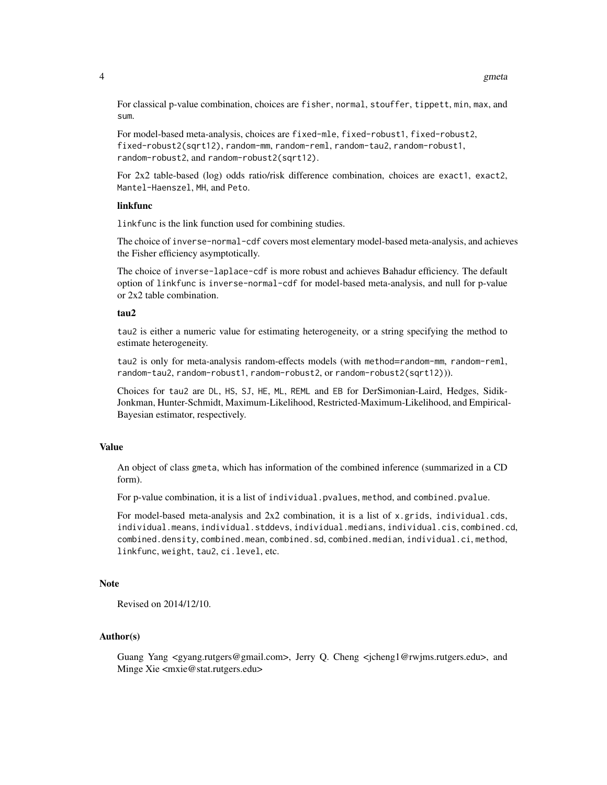For classical p-value combination, choices are fisher, normal, stouffer, tippett, min, max, and sum.

For model-based meta-analysis, choices are fixed-mle, fixed-robust1, fixed-robust2, fixed-robust2(sqrt12), random-mm, random-reml, random-tau2, random-robust1, random-robust2, and random-robust2(sqrt12).

For 2x2 table-based (log) odds ratio/risk difference combination, choices are exact1, exact2, Mantel-Haenszel, MH, and Peto.

#### linkfunc

linkfunc is the link function used for combining studies.

The choice of inverse-normal-cdf covers most elementary model-based meta-analysis, and achieves the Fisher efficiency asymptotically.

The choice of inverse-laplace-cdf is more robust and achieves Bahadur efficiency. The default option of linkfunc is inverse-normal-cdf for model-based meta-analysis, and null for p-value or 2x2 table combination.

#### tau2

tau2 is either a numeric value for estimating heterogeneity, or a string specifying the method to estimate heterogeneity.

tau2 is only for meta-analysis random-effects models (with method=random-mm, random-reml, random-tau2, random-robust1, random-robust2, or random-robust2(sqrt12))).

Choices for tau2 are DL, HS, SJ, HE, ML, REML and EB for DerSimonian-Laird, Hedges, Sidik-Jonkman, Hunter-Schmidt, Maximum-Likelihood, Restricted-Maximum-Likelihood, and Empirical-Bayesian estimator, respectively.

# Value

An object of class gmeta, which has information of the combined inference (summarized in a CD form).

For p-value combination, it is a list of individual.pvalues, method, and combined.pvalue.

For model-based meta-analysis and 2x2 combination, it is a list of x.grids, individual.cds, individual.means, individual.stddevs, individual.medians, individual.cis, combined.cd, combined.density, combined.mean, combined.sd, combined.median, individual.ci, method, linkfunc, weight, tau2, ci.level, etc.

## Note

Revised on 2014/12/10.

# Author(s)

Guang Yang <gyang.rutgers@gmail.com>, Jerry Q. Cheng <jcheng1@rwjms.rutgers.edu>, and Minge Xie <mxie@stat.rutgers.edu>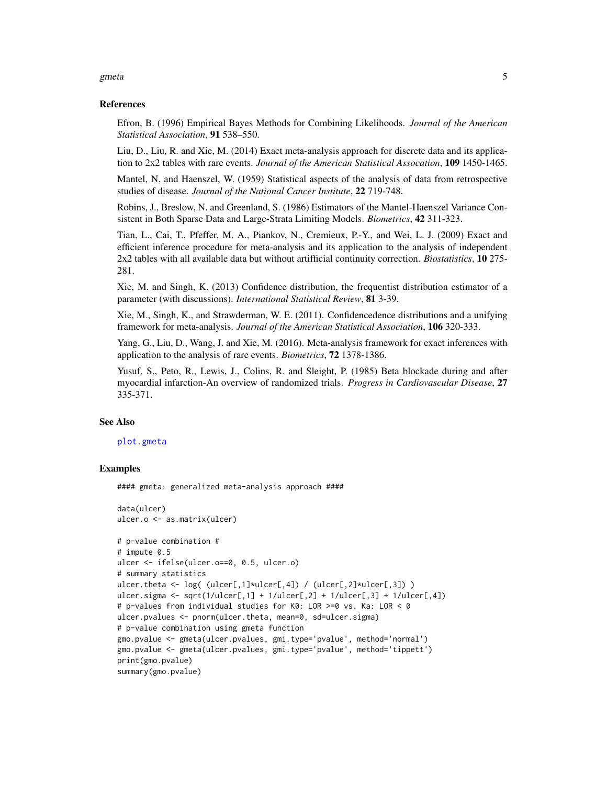#### <span id="page-4-0"></span>gmeta 5

#### References

Efron, B. (1996) Empirical Bayes Methods for Combining Likelihoods. *Journal of the American Statistical Association*, 91 538–550.

Liu, D., Liu, R. and Xie, M. (2014) Exact meta-analysis approach for discrete data and its application to 2x2 tables with rare events. *Journal of the American Statistical Assocation*, 109 1450-1465.

Mantel, N. and Haenszel, W. (1959) Statistical aspects of the analysis of data from retrospective studies of disease. *Journal of the National Cancer Institute*, 22 719-748.

Robins, J., Breslow, N. and Greenland, S. (1986) Estimators of the Mantel-Haenszel Variance Consistent in Both Sparse Data and Large-Strata Limiting Models. *Biometrics*, 42 311-323.

Tian, L., Cai, T., Pfeffer, M. A., Piankov, N., Cremieux, P.-Y., and Wei, L. J. (2009) Exact and efficient inference procedure for meta-analysis and its application to the analysis of independent 2x2 tables with all available data but without artifficial continuity correction. *Biostatistics*, 10 275- 281.

Xie, M. and Singh, K. (2013) Confidence distribution, the frequentist distribution estimator of a parameter (with discussions). *International Statistical Review*, 81 3-39.

Xie, M., Singh, K., and Strawderman, W. E. (2011). Confidencedence distributions and a unifying framework for meta-analysis. *Journal of the American Statistical Association*, 106 320-333.

Yang, G., Liu, D., Wang, J. and Xie, M. (2016). Meta-analysis framework for exact inferences with application to the analysis of rare events. *Biometrics*, 72 1378-1386.

Yusuf, S., Peto, R., Lewis, J., Colins, R. and Sleight, P. (1985) Beta blockade during and after myocardial infarction-An overview of randomized trials. *Progress in Cardiovascular Disease*, 27 335-371.

# See Also

#### [plot.gmeta](#page-7-1)

#### Examples

#### gmeta: generalized meta-analysis approach ####

```
data(ulcer)
ulcer.o <- as.matrix(ulcer)
# p-value combination #
# impute 0.5
ulcer <- ifelse(ulcer.o==0, 0.5, ulcer.o)
# summary statistics
ulcer.theta <- log( (ulcer[,1]*ulcer[,4]) / (ulcer[,2]*ulcer[,3]) )
ulcer.sigma <- sqrt(1/\text{ulcer}[,1] + 1/\text{ulcer}[,2] + 1/\text{ulcer}[,3] + 1/\text{ulcer}[,4])# p-values from individual studies for K0: LOR >=0 vs. Ka: LOR < 0
ulcer.pvalues <- pnorm(ulcer.theta, mean=0, sd=ulcer.sigma)
# p-value combination using gmeta function
gmo.pvalue <- gmeta(ulcer.pvalues, gmi.type='pvalue', method='normal')
gmo.pvalue <- gmeta(ulcer.pvalues, gmi.type='pvalue', method='tippett')
print(gmo.pvalue)
summary(gmo.pvalue)
```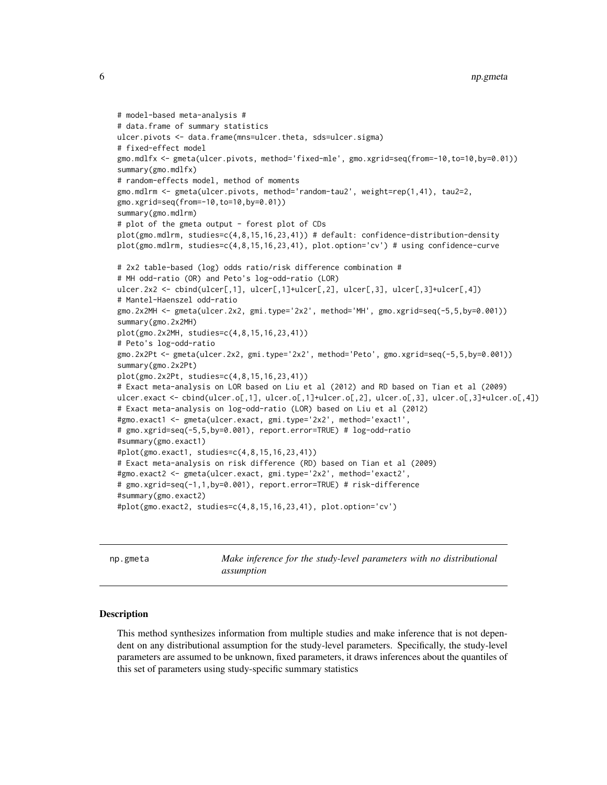```
# model-based meta-analysis #
# data.frame of summary statistics
ulcer.pivots <- data.frame(mns=ulcer.theta, sds=ulcer.sigma)
# fixed-effect model
gmo.mdlfx <- gmeta(ulcer.pivots, method='fixed-mle', gmo.xgrid=seq(from=-10,to=10,by=0.01))
summary(gmo.mdlfx)
# random-effects model, method of moments
gmo.mdlrm <- gmeta(ulcer.pivots, method='random-tau2', weight=rep(1,41), tau2=2,
gmo.xgrid=seq(from=-10,to=10,by=0.01))
summary(gmo.mdlrm)
# plot of the gmeta output - forest plot of CDs
plot(gmo.mdlrm, studies=c(4,8,15,16,23,41)) # default: confidence-distribution-density
plot(gmo.mdlrm, studies=c(4,8,15,16,23,41), plot.option='cv') # using confidence-curve
# 2x2 table-based (log) odds ratio/risk difference combination #
# MH odd-ratio (OR) and Peto's log-odd-ratio (LOR)
ulcer.2x2 <- cbind(ulcer[,1], ulcer[,1]+ulcer[,2], ulcer[,3], ulcer[,3]+ulcer[,4])
# Mantel-Haenszel odd-ratio
gmo.2x2MH <- gmeta(ulcer.2x2, gmi.type='2x2', method='MH', gmo.xgrid=seq(-5,5,by=0.001))
summary(gmo.2x2MH)
plot(gmo.2x2MH, studies=c(4,8,15,16,23,41))
# Peto's log-odd-ratio
gmo.2x2Pt <- gmeta(ulcer.2x2, gmi.type='2x2', method='Peto', gmo.xgrid=seq(-5,5,by=0.001))
summary(gmo.2x2Pt)
plot(gmo.2x2Pt, studies=c(4,8,15,16,23,41))
# Exact meta-analysis on LOR based on Liu et al (2012) and RD based on Tian et al (2009)
ulcer.exact <- cbind(ulcer.o[,1], ulcer.o[,1]+ulcer.o[,2], ulcer.o[,3], ulcer.o[,3]+ulcer.o[,4])
# Exact meta-analysis on log-odd-ratio (LOR) based on Liu et al (2012)
#gmo.exact1 <- gmeta(ulcer.exact, gmi.type='2x2', method='exact1',
# gmo.xgrid=seq(-5,5,by=0.001), report.error=TRUE) # log-odd-ratio
#summary(gmo.exact1)
#plot(gmo.exact1, studies=c(4,8,15,16,23,41))
# Exact meta-analysis on risk difference (RD) based on Tian et al (2009)
#gmo.exact2 <- gmeta(ulcer.exact, gmi.type='2x2', method='exact2',
# gmo.xgrid=seq(-1,1,by=0.001), report.error=TRUE) # risk-difference
#summary(gmo.exact2)
#plot(gmo.exact2, studies=c(4,8,15,16,23,41), plot.option='cv')
```
np.gmeta *Make inference for the study-level parameters with no distributional assumption*

#### Description

This method synthesizes information from multiple studies and make inference that is not dependent on any distributional assumption for the study-level parameters. Specifically, the study-level parameters are assumed to be unknown, fixed parameters, it draws inferences about the quantiles of this set of parameters using study-specific summary statistics

<span id="page-5-0"></span>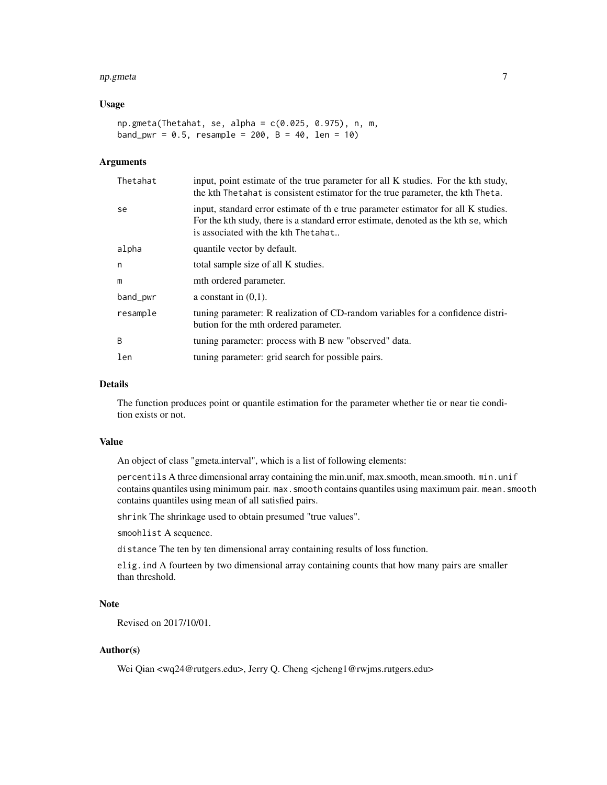#### np.gmeta 7

#### Usage

```
np.gmeta(Thetahat, se, alpha = c(0.025, 0.975), n, m,
band_pwr = 0.5, resample = 200, B = 40, len = 10)
```
#### Arguments

| Thetahat | input, point estimate of the true parameter for all K studies. For the kth study,<br>the kth Thetahat is consistent estimator for the true parameter, the kth Theta.                                            |
|----------|-----------------------------------------------------------------------------------------------------------------------------------------------------------------------------------------------------------------|
| se       | input, standard error estimate of the true parameter estimator for all K studies.<br>For the kth study, there is a standard error estimate, denoted as the kth se, which<br>is associated with the kth Thetahat |
| alpha    | quantile vector by default.                                                                                                                                                                                     |
| n        | total sample size of all K studies.                                                                                                                                                                             |
| m        | mth ordered parameter.                                                                                                                                                                                          |
| band_pwr | a constant in $(0,1)$ .                                                                                                                                                                                         |
| resample | tuning parameter: R realization of CD-random variables for a confidence distri-<br>bution for the mth ordered parameter.                                                                                        |
| B        | tuning parameter: process with B new "observed" data.                                                                                                                                                           |
| len      | tuning parameter: grid search for possible pairs.                                                                                                                                                               |

# Details

The function produces point or quantile estimation for the parameter whether tie or near tie condition exists or not.

#### Value

An object of class "gmeta.interval", which is a list of following elements:

percentils A three dimensional array containing the min.unif, max.smooth, mean.smooth. min.unif contains quantiles using minimum pair. max. smooth contains quantiles using maximum pair. mean. smooth contains quantiles using mean of all satisfied pairs.

shrink The shrinkage used to obtain presumed "true values".

smoohlist A sequence.

distance The ten by ten dimensional array containing results of loss function.

elig.ind A fourteen by two dimensional array containing counts that how many pairs are smaller than threshold.

# Note

Revised on 2017/10/01.

# Author(s)

Wei Qian <wq24@rutgers.edu>, Jerry Q. Cheng <jcheng1@rwjms.rutgers.edu>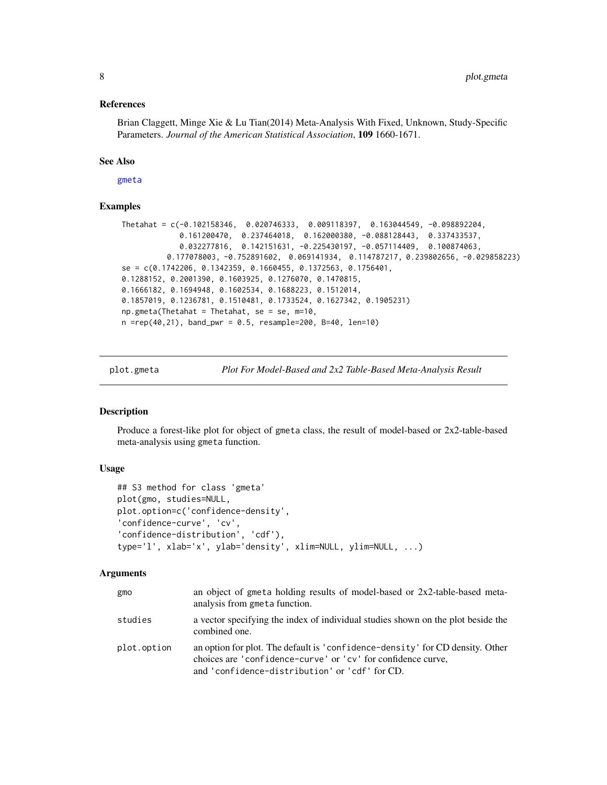#### <span id="page-7-0"></span>References

Brian Claggett, Minge Xie & Lu Tian(2014) Meta-Analysis With Fixed, Unknown, Study-Specific Parameters. *Journal of the American Statistical Association*, 109 1660-1671.

#### See Also

[gmeta](#page-1-1)

# Examples

```
Thetahat = c(-0.102158346, 0.020746333, 0.009118397, 0.163044549, -0.098892204,
             0.161200470, 0.237464018, 0.162000380, -0.088128443, 0.337433537,
             0.032277816, 0.142151631, -0.225430197, -0.057114409, 0.100874063,
          0.177078003, -0.752891602, 0.069141934, 0.114787217, 0.239802656, -0.029858223)
se = c(0.1742206, 0.1342359, 0.1660455, 0.1372563, 0.1756401,
0.1288152, 0.2001390, 0.1603925, 0.1276070, 0.1470815,
0.1666182, 0.1694948, 0.1602534, 0.1688223, 0.1512014,
0.1857019, 0.1236781, 0.1510481, 0.1733524, 0.1627342, 0.1905231)
np.gmeta(Thetahat = Thetahat, se = se, m=10,
n = rep(40, 21), band_pwr = 0.5, resample = 200, B = 40, len = 10)
```
<span id="page-7-1"></span>plot.gmeta *Plot For Model-Based and 2x2 Table-Based Meta-Analysis Result*

#### Description

Produce a forest-like plot for object of gmeta class, the result of model-based or 2x2-table-based meta-analysis using gmeta function.

# Usage

```
## S3 method for class 'gmeta'
plot(gmo, studies=NULL,
plot.option=c('confidence-density',
'confidence-curve', 'cv',
'confidence-distribution', 'cdf'),
type='l', xlab='x', ylab='density', xlim=NULL, ylim=NULL, ...)
```
# Arguments

| gmo         | an object of gmeta holding results of model-based or $2x2$ -table-based meta-<br>analysis from gmeta function.                                                                                  |
|-------------|-------------------------------------------------------------------------------------------------------------------------------------------------------------------------------------------------|
| studies     | a vector specifying the index of individual studies shown on the plot beside the<br>combined one.                                                                                               |
| plot.option | an option for plot. The default is 'confidence-density' for CD density. Other<br>choices are 'confidence-curve' or 'cv' for confidence curve,<br>and 'confidence-distribution' or 'cdf' for CD. |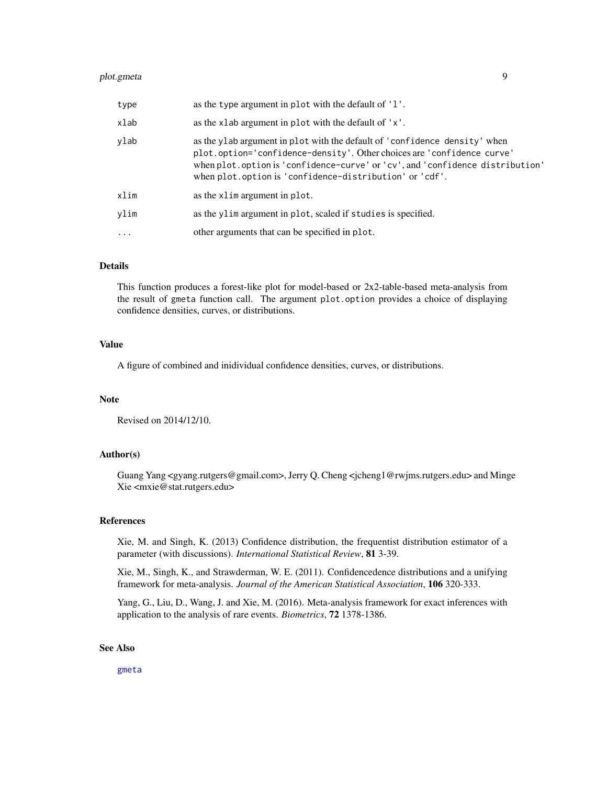<span id="page-8-0"></span>

| type      | as the type argument in plot with the default of '1'.                                                                                                                                                                                                                                            |
|-----------|--------------------------------------------------------------------------------------------------------------------------------------------------------------------------------------------------------------------------------------------------------------------------------------------------|
| xlab      | as the xlab argument in plot with the default of 'x'.                                                                                                                                                                                                                                            |
| ylab      | as the ylab argument in plot with the default of 'confidence density' when<br>plot.option='confidence-density'. Other choices are 'confidence curve'<br>when plot.option is 'confidence-curve' or 'cv', and 'confidence distribution'<br>when plot.option is 'confidence-distribution' or 'cdf'. |
| xlim      | as the xlim argument in plot.                                                                                                                                                                                                                                                                    |
| ylim      | as the ylim argument in plot, scaled if studies is specified.                                                                                                                                                                                                                                    |
| $\ddotsc$ | other arguments that can be specified in plot.                                                                                                                                                                                                                                                   |

#### Details

This function produces a forest-like plot for model-based or 2x2-table-based meta-analysis from the result of gmeta function call. The argument plot.option provides a choice of displaying confidence densities, curves, or distributions.

# Value

A figure of combined and inidividual confidence densities, curves, or distributions.

#### Note

Revised on 2014/12/10.

#### Author(s)

Guang Yang <gyang.rutgers@gmail.com>, Jerry Q. Cheng <jcheng1@rwjms.rutgers.edu> and Minge Xie <mxie@stat.rutgers.edu>

#### References

Xie, M. and Singh, K. (2013) Confidence distribution, the frequentist distribution estimator of a parameter (with discussions). *International Statistical Review*, 81 3-39.

Xie, M., Singh, K., and Strawderman, W. E. (2011). Confidencedence distributions and a unifying framework for meta-analysis. *Journal of the American Statistical Association*, 106 320-333.

Yang, G., Liu, D., Wang, J. and Xie, M. (2016). Meta-analysis framework for exact inferences with application to the analysis of rare events. *Biometrics*, 72 1378-1386.

# See Also

[gmeta](#page-1-1)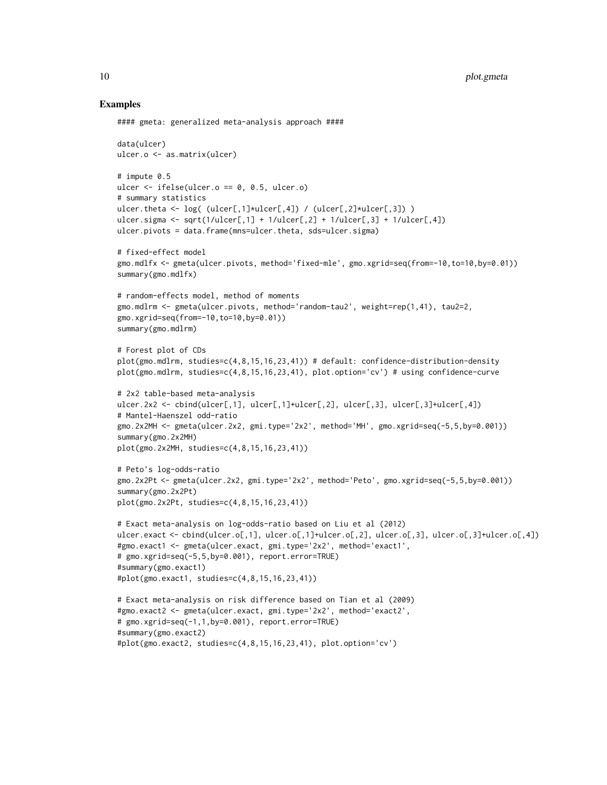#### Examples

```
#### gmeta: generalized meta-analysis approach ####
data(ulcer)
ulcer.o <- as.matrix(ulcer)
# impute 0.5
ulcer <- ifelse(ulcer.o == 0, 0.5, ulcer.o)
# summary statistics
ulcer.theta <- log( (ulcer[,1]*ulcer[,4]) / (ulcer[,2]*ulcer[,3]) )
ulcer.sigma <- sqrt(1/\text{ulcer}[,1] + 1/\text{ulcer}[,2] + 1/\text{ulcer}[,3] + 1/\text{ulcer}[,4])ulcer.pivots = data.frame(mns=ulcer.theta, sds=ulcer.sigma)
# fixed-effect model
gmo.mdlfx <- gmeta(ulcer.pivots, method='fixed-mle', gmo.xgrid=seq(from=-10,to=10,by=0.01))
summary(gmo.mdlfx)
# random-effects model, method of moments
gmo.mdlrm <- gmeta(ulcer.pivots, method='random-tau2', weight=rep(1,41), tau2=2,
gmo.xgrid=seq(from=-10,to=10,by=0.01))
summary(gmo.mdlrm)
# Forest plot of CDs
plot(gmo.mdlrm, studies=c(4,8,15,16,23,41)) # default: confidence-distribution-density
plot(gmo.mdlrm, studies=c(4,8,15,16,23,41), plot.option='cv') # using confidence-curve
# 2x2 table-based meta-analysis
ulcer.2x2 <- cbind(ulcer[,1], ulcer[,1]+ulcer[,2], ulcer[,3], ulcer[,3]+ulcer[,4])
# Mantel-Haenszel odd-ratio
gmo.2x2MH <- gmeta(ulcer.2x2, gmi.type='2x2', method='MH', gmo.xgrid=seq(-5,5,by=0.001))
summary(gmo.2x2MH)
plot(gmo.2x2MH, studies=c(4,8,15,16,23,41))
# Peto's log-odds-ratio
gmo.2x2Pt <- gmeta(ulcer.2x2, gmi.type='2x2', method='Peto', gmo.xgrid=seq(-5,5,by=0.001))
summary(gmo.2x2Pt)
plot(gmo.2x2Pt, studies=c(4,8,15,16,23,41))
# Exact meta-analysis on log-odds-ratio based on Liu et al (2012)
ulcer.exact <- cbind(ulcer.o[,1], ulcer.o[,1]+ulcer.o[,2], ulcer.o[,3], ulcer.o[,3]+ulcer.o[,4])
#gmo.exact1 <- gmeta(ulcer.exact, gmi.type='2x2', method='exact1',
# gmo.xgrid=seq(-5,5,by=0.001), report.error=TRUE)
#summary(gmo.exact1)
#plot(gmo.exact1, studies=c(4,8,15,16,23,41))
# Exact meta-analysis on risk difference based on Tian et al (2009)
#gmo.exact2 <- gmeta(ulcer.exact, gmi.type='2x2', method='exact2',
# gmo.xgrid=seq(-1,1,by=0.001), report.error=TRUE)
#summary(gmo.exact2)
#plot(gmo.exact2, studies=c(4,8,15,16,23,41), plot.option='cv')
```